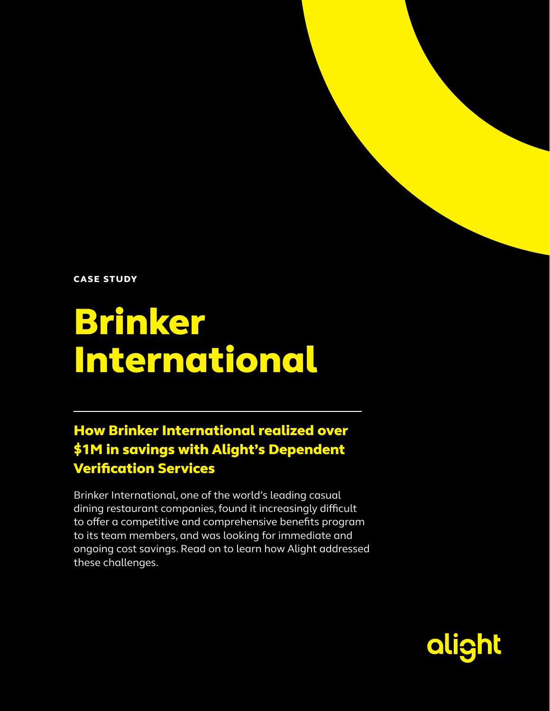CASE STUDY

# Brinker International

### How Brinker International realized over \$1M in savings with Alight's Dependent Verification Services

Brinker International, one of the world's leading casual dining restaurant companies, found it increasingly difficult to offer a competitive and comprehensive benefits program to its team members, and was looking for immediate and ongoing cost savings. Read on to learn how Alight addressed these challenges.

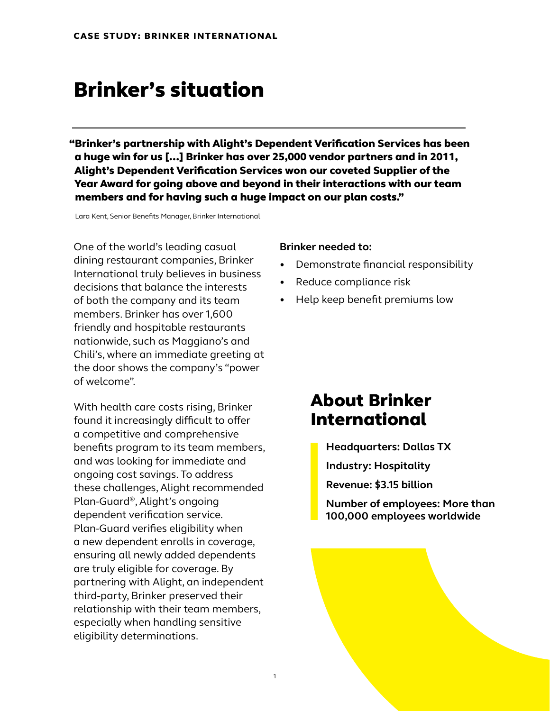### Brinker's situation

 "Brinker's partnership with Alight's Dependent Verification Services has been a huge win for us […] Brinker has over 25,000 vendor partners and in 2011, Alight's Dependent Verification Services won our coveted Supplier of the Year Award for going above and beyond in their interactions with our team members and for having such a huge impact on our plan costs."

1

Lara Kent, Senior Benefits Manager, Brinker International

One of the world's leading casual dining restaurant companies, Brinker International truly believes in business decisions that balance the interests of both the company and its team members. Brinker has over 1,600 friendly and hospitable restaurants nationwide, such as Maggiano's and Chili's, where an immediate greeting at the door shows the company's "power of welcome".

With health care costs rising, Brinker found it increasingly difficult to offer a competitive and comprehensive benefits program to its team members, and was looking for immediate and ongoing cost savings. To address these challenges, Alight recommended Plan-Guard®, Alight's ongoing dependent verification service. Plan-Guard verifies eligibility when a new dependent enrolls in coverage, ensuring all newly added dependents are truly eligible for coverage. By partnering with Alight, an independent third-party, Brinker preserved their relationship with their team members, especially when handling sensitive eligibility determinations.

#### **Brinker needed to:**

- Demonstrate financial responsibility
- Reduce compliance risk
- Help keep benefit premiums low

### About Brinker International

**Headquarters: Dallas TX Industry: Hospitality**

**Revenue: \$3.15 billion**

**Number of employees: More than 100,000 employees worldwide**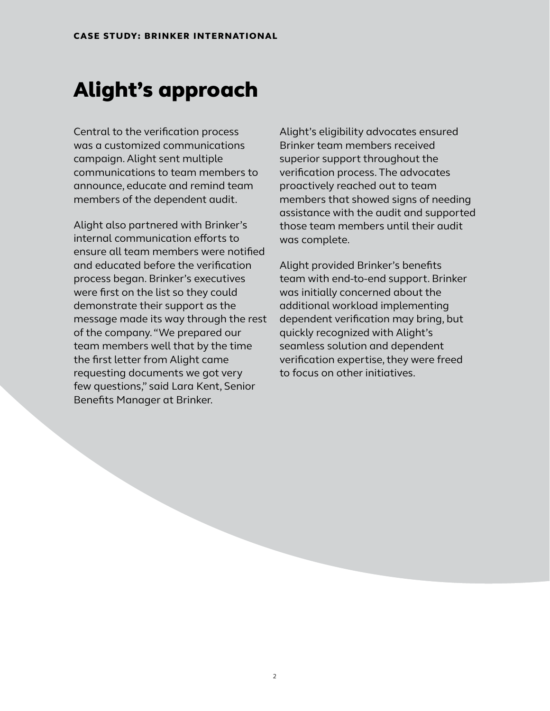# Alight's approach

Central to the verification process was a customized communications campaign. Alight sent multiple communications to team members to announce, educate and remind team members of the dependent audit.

Alight also partnered with Brinker's internal communication efforts to ensure all team members were notified and educated before the verification process began. Brinker's executives were first on the list so they could demonstrate their support as the message made its way through the rest of the company. "We prepared our team members well that by the time the first letter from Alight came requesting documents we got very few questions," said Lara Kent, Senior Benefits Manager at Brinker.

Alight's eligibility advocates ensured Brinker team members received superior support throughout the verification process. The advocates proactively reached out to team members that showed signs of needing assistance with the audit and supported those team members until their audit was complete.

Alight provided Brinker's benefits team with end-to-end support. Brinker was initially concerned about the additional workload implementing dependent verification may bring, but quickly recognized with Alight's seamless solution and dependent verification expertise, they were freed to focus on other initiatives.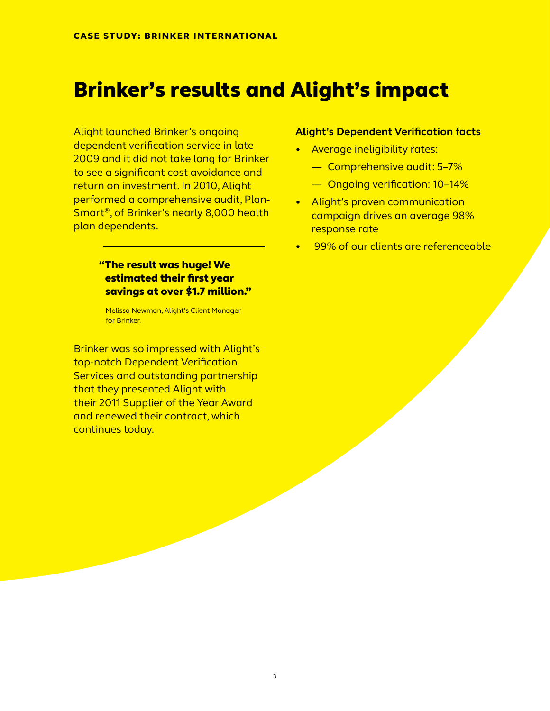### Brinker's results and Alight's impact

Alight launched Brinker's ongoing dependent verification service in late 2009 and it did not take long for Brinker to see a significant cost avoidance and return on investment. In 2010, Alight performed a comprehensive audit, Plan-Smart®, of Brinker's nearly 8,000 health plan dependents.

#### "The result was huge! We estimated their first year savings at over \$1.7 million."

Melissa Newman, Alight's Client Manager for Brinker.

Brinker was so impressed with Alight's top-notch Dependent Verification Services and outstanding partnership that they presented Alight with their 2011 Supplier of the Year Award and renewed their contract, which continues today.

#### **Alight's Dependent Verification facts**

- Average ineligibility rates:
	- Comprehensive audit: 5–7%
	- Ongoing verification: 10–14%
- Alight's proven communication campaign drives an average 98% response rate
- 99% of our clients are referenceable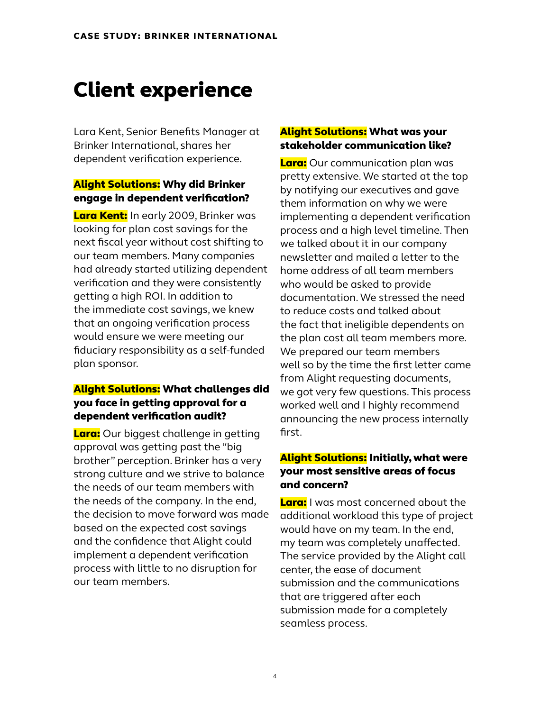# Client experience

Lara Kent, Senior Benefits Manager at Brinker International, shares her dependent verification experience.

#### Alight Solutions: Why did Brinker engage in dependent verification?

Lara Kent: In early 2009, Brinker was looking for plan cost savings for the next fiscal year without cost shifting to our team members. Many companies had already started utilizing dependent verification and they were consistently getting a high ROI. In addition to the immediate cost savings, we knew that an ongoing verification process would ensure we were meeting our fiduciary responsibility as a self-funded plan sponsor.

### Alight Solutions: What challenges did you face in getting approval for a dependent verification audit?

**Lara:** Our biggest challenge in getting approval was getting past the "big brother" perception. Brinker has a very strong culture and we strive to balance the needs of our team members with the needs of the company. In the end, the decision to move forward was made based on the expected cost savings and the confidence that Alight could implement a dependent verification process with little to no disruption for our team members.

### Alight Solutions: What was your stakeholder communication like?

Lara: Our communication plan was pretty extensive. We started at the top by notifying our executives and gave them information on why we were implementing a dependent verification process and a high level timeline. Then we talked about it in our company newsletter and mailed a letter to the home address of all team members who would be asked to provide documentation. We stressed the need to reduce costs and talked about the fact that ineligible dependents on the plan cost all team members more. We prepared our team members well so by the time the first letter came from Alight requesting documents, we got very few questions. This process worked well and I highly recommend announcing the new process internally first.

### Alight Solutions: Initially, what were your most sensitive areas of focus and concern?

Lara: I was most concerned about the additional workload this type of project would have on my team. In the end, my team was completely unaffected. The service provided by the Alight call center, the ease of document submission and the communications that are triggered after each submission made for a completely seamless process.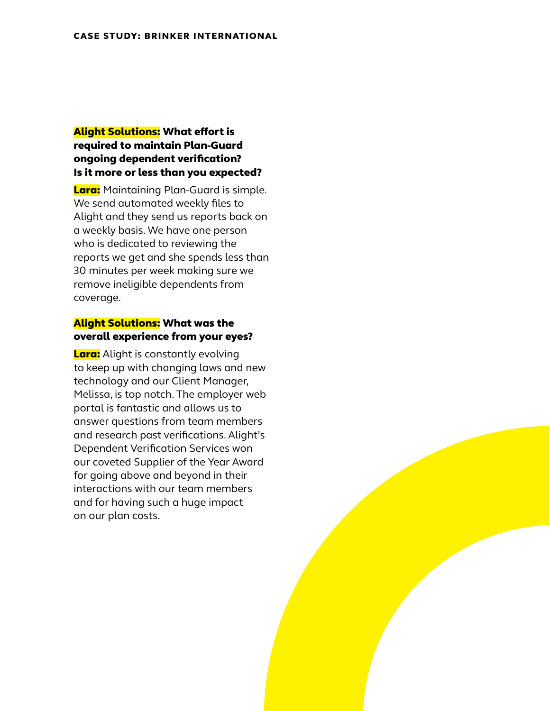#### Alight Solutions: What effort is required to maintain Plan-Guard ongoing dependent verification? Is it more or less than you expected?

Lara: Maintaining Plan-Guard is simple. We send automated weekly files to Alight and they send us reports back on a weekly basis. We have one person who is dedicated to reviewing the reports we get and she spends less than 30 minutes per week making sure we remove ineligible dependents from coverage.

#### Alight Solutions: What was the overall experience from your eyes?

**Lara:** Alight is constantly evolving to keep up with changing laws and new technology and our Client Manager, Melissa, is top notch. The employer web portal is fantastic and allows us to answer questions from team members and research past verifications. Alight's Dependent Verification Services won our coveted Supplier of the Year Award for going above and beyond in their interactions with our team members and for having such a huge impact on our plan costs.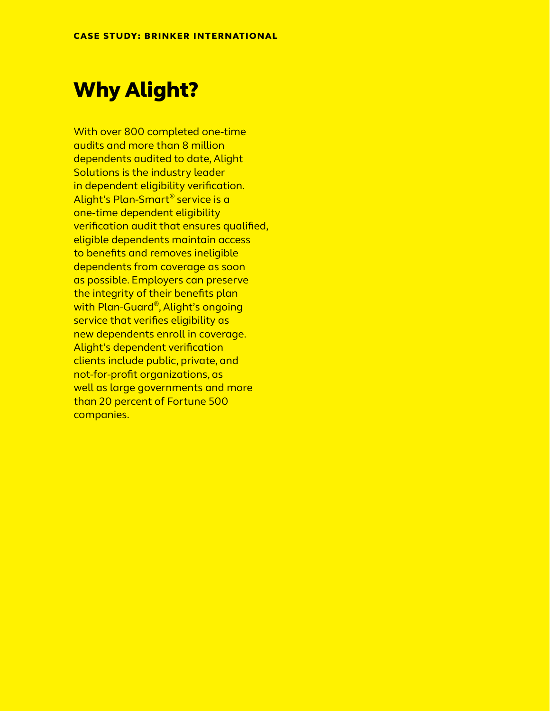## Why Alight?

With over 800 completed one-time audits and more than 8 million dependents audited to date, Alight Solutions is the industry leader in dependent eligibility verification. Alight's Plan-Smart® service is a one-time dependent eligibility verification audit that ensures qualified, eligible dependents maintain access to benefits and removes ineligible dependents from coverage as soon as possible. Employers can preserve the integrity of their benefits plan with Plan-Guard®, Alight's ongoing service that verifies eligibility as new dependents enroll in coverage. Alight's dependent verification clients include public, private, and not-for-profit organizations, as well as large governments and more than 20 percent of Fortune 500 companies.